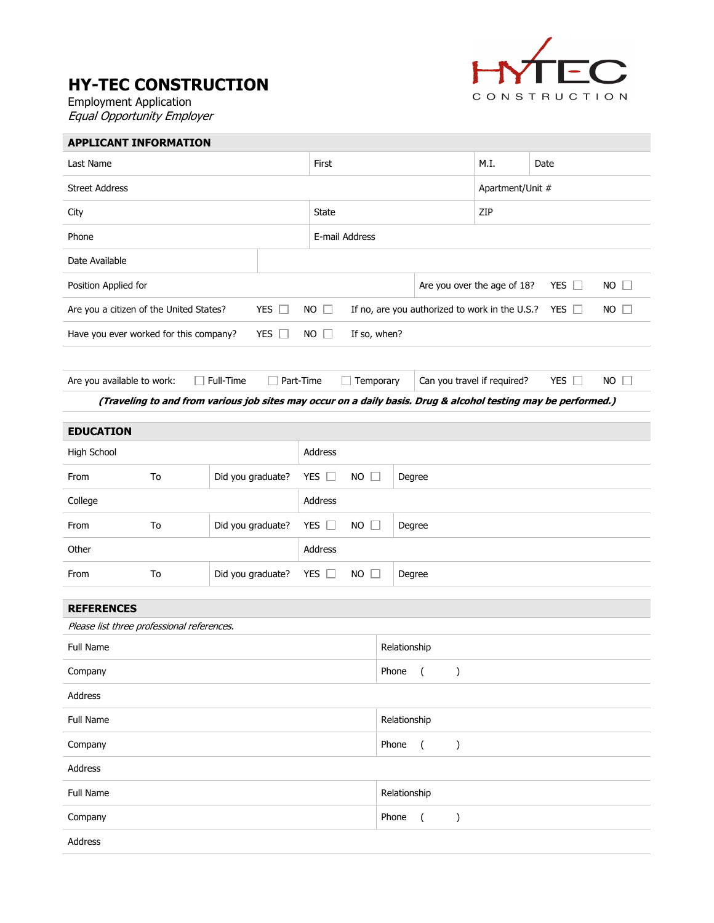## HY-TEC CONSTRUCTION

Employment Application Equal Opportunity Employer



| <b>APPLICANT INFORMATION</b>                                                                                   |    |                   |                            |                                                                             |                             |                  |    |  |
|----------------------------------------------------------------------------------------------------------------|----|-------------------|----------------------------|-----------------------------------------------------------------------------|-----------------------------|------------------|----|--|
| Last Name                                                                                                      |    |                   | First                      |                                                                             | M.I.                        | Date             |    |  |
| <b>Street Address</b>                                                                                          |    |                   |                            |                                                                             |                             | Apartment/Unit # |    |  |
| City                                                                                                           |    |                   | State                      |                                                                             |                             | ZIP              |    |  |
| Phone                                                                                                          |    |                   |                            | E-mail Address                                                              |                             |                  |    |  |
| Date Available                                                                                                 |    |                   |                            |                                                                             |                             |                  |    |  |
| Position Applied for                                                                                           |    |                   |                            |                                                                             | Are you over the age of 18? | YES $\square$    | NO |  |
| Are you a citizen of the United States?                                                                        |    | YES $\square$     | <b>NO</b><br>$\Box$        | If no, are you authorized to work in the U.S.?<br>YES $\Box$<br>$NO$ $\Box$ |                             |                  |    |  |
| Have you ever worked for this company?                                                                         |    | YES $\Box$        | <b>NO</b><br>$\Box$        | If so, when?                                                                |                             |                  |    |  |
|                                                                                                                |    |                   |                            |                                                                             |                             |                  |    |  |
| Are you available to work:                                                                                     |    | Full-Time         | Part-Time                  | Temporary                                                                   | Can you travel if required? | YES $\square$    | NO |  |
| (Traveling to and from various job sites may occur on a daily basis. Drug & alcohol testing may be performed.) |    |                   |                            |                                                                             |                             |                  |    |  |
| <b>EDUCATION</b>                                                                                               |    |                   |                            |                                                                             |                             |                  |    |  |
| High School                                                                                                    |    |                   |                            | Address                                                                     |                             |                  |    |  |
| From                                                                                                           | To | Did you graduate? | YES $\Box$<br><b>NO</b>    | $\Box$<br>Degree                                                            |                             |                  |    |  |
| College                                                                                                        |    |                   | Address                    |                                                                             |                             |                  |    |  |
| From                                                                                                           | To | Did you graduate? | YES $\square$<br><b>NO</b> | $\Box$<br>Degree                                                            |                             |                  |    |  |
| Other                                                                                                          |    |                   | Address                    |                                                                             |                             |                  |    |  |
| From                                                                                                           | To | Did you graduate? | YES $\square$<br><b>NO</b> | Degree                                                                      |                             |                  |    |  |
| <b>REFERENCES</b>                                                                                              |    |                   |                            |                                                                             |                             |                  |    |  |
| Please list three professional references.                                                                     |    |                   |                            |                                                                             |                             |                  |    |  |
| Full Name                                                                                                      |    |                   |                            | Relationship                                                                |                             |                  |    |  |
| Company                                                                                                        |    |                   |                            | Phone<br>$\overline{(\ }$<br>$\mathcal{E}$                                  |                             |                  |    |  |
| Address                                                                                                        |    |                   |                            |                                                                             |                             |                  |    |  |
| Full Name                                                                                                      |    |                   |                            | Relationship                                                                |                             |                  |    |  |
| Company                                                                                                        |    |                   |                            | Phone<br>$\overline{(\ }$<br>$\mathcal{E}$                                  |                             |                  |    |  |
| Address                                                                                                        |    |                   |                            |                                                                             |                             |                  |    |  |
| Full Name                                                                                                      |    |                   |                            | Relationship                                                                |                             |                  |    |  |
| Company                                                                                                        |    |                   |                            | Phone<br>$\overline{(\ }$<br>$\mathcal{E}$                                  |                             |                  |    |  |
| Address                                                                                                        |    |                   |                            |                                                                             |                             |                  |    |  |
|                                                                                                                |    |                   |                            |                                                                             |                             |                  |    |  |